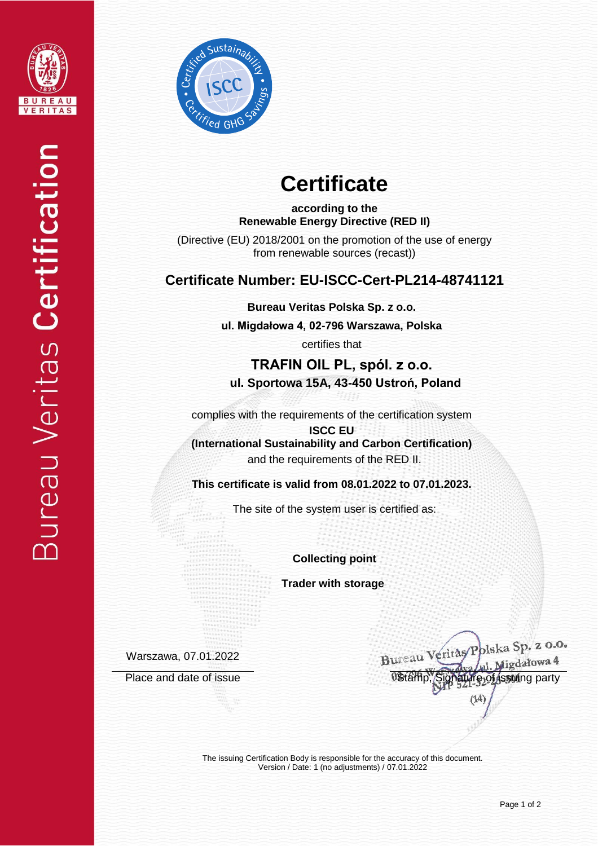



# **Certificate**

**according to the Renewable Energy Directive (RED II)**

(Directive (EU) 2018/2001 on the promotion of the use of energy from renewable sources (recast))

### **Certificate Number: EU-ISCC-Cert-PL214-48741121**

**Bureau Veritas Polska Sp. z o.o.**

**ul. Migdałowa 4, 02-796 Warszawa, Polska** 

certifies that

**TRAFIN OIL PL, spól. z o.o. ul. Sportowa 15A, 43-450 Ustroń, Poland**

complies with the requirements of the certification system

**ISCC EU (International Sustainability and Carbon Certification)** and the requirements of the RED II.

**This certificate is valid from 08.01.2022 to 07.01.2023.**

The site of the system user is certified as:

**Collecting point**

 **Trader with storage**

Warszawa, 07.01.2022

Bureau Veritas Polska Sp. z 0.0. J. Migdałowa 4 Place and date of issue Distamp, Signature of issuing party

The issuing Certification Body is responsible for the accuracy of this document. Version / Date: 1 (no adjustments) / 07.01.2022